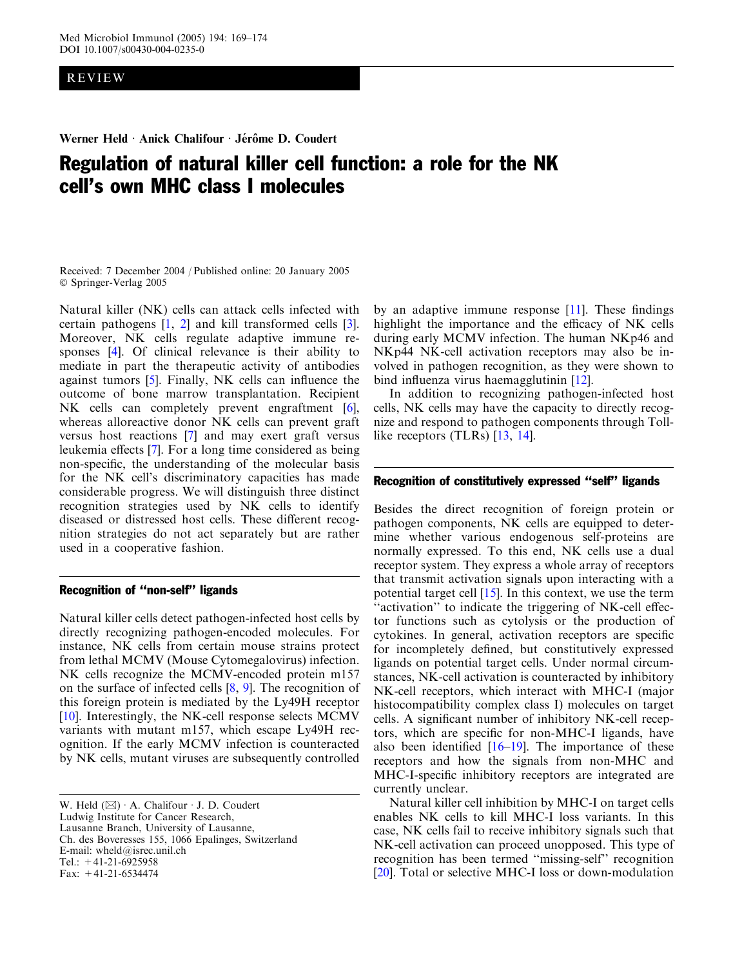# REVIEW

Werner Held · Anick Chalifour · Jérôme D. Coudert

# Regulation of natural killer cell function: a role for the NK cell's own MHC class I molecules

Received: 7 December 2004 / Published online: 20 January 2005 Springer-Verlag 2005

Natural killer (NK) cells can attack cells infected with certain pathogens [[1](#page-3-0), [2](#page-3-0)] and kill transformed cells [\[3](#page-3-0)]. Moreover, NK cells regulate adaptive immune responses [\[4\]](#page-3-0). Of clinical relevance is their ability to mediate in part the therapeutic activity of antibodies against tumors [[5\]](#page-3-0). Finally, NK cells can influence the outcome of bone marrow transplantation. Recipient NK cells can completely prevent engraftment [\[6](#page-3-0)], whereas alloreactive donor NK cells can prevent graft versus host reactions [\[7](#page-3-0)] and may exert graft versus leukemia effects [[7\]](#page-3-0). For a long time considered as being non-specific, the understanding of the molecular basis for the NK cell's discriminatory capacities has made considerable progress. We will distinguish three distinct recognition strategies used by NK cells to identify diseased or distressed host cells. These different recognition strategies do not act separately but are rather used in a cooperative fashion.

### Recognition of ''non-self'' ligands

Natural killer cells detect pathogen-infected host cells by directly recognizing pathogen-encoded molecules. For instance, NK cells from certain mouse strains protect from lethal MCMV (Mouse Cytomegalovirus) infection. NK cells recognize the MCMV-encoded protein m157 on the surface of infected cells [\[8](#page-3-0), [9](#page-3-0)]. The recognition of this foreign protein is mediated by the Ly49H receptor [[10](#page-3-0)]. Interestingly, the NK-cell response selects MCMV variants with mutant m157, which escape Ly49H recognition. If the early MCMV infection is counteracted by NK cells, mutant viruses are subsequently controlled

W. Held  $(\boxtimes) \cdot A$ . Chalifour  $\cdot$  J. D. Coudert Ludwig Institute for Cancer Research, Lausanne Branch, University of Lausanne, Ch. des Boveresses 155, 1066 Epalinges, Switzerland E-mail: wheld@isrec.unil.ch Tel.:  $+41-21-6925958$ Fax: +41-21-6534474

by an adaptive immune response [\[11](#page-3-0)]. These findings highlight the importance and the efficacy of NK cells during early MCMV infection. The human NKp46 and NKp44 NK-cell activation receptors may also be involved in pathogen recognition, as they were shown to bind influenza virus haemagglutinin [[12\]](#page-3-0).

In addition to recognizing pathogen-infected host cells, NK cells may have the capacity to directly recognize and respond to pathogen components through Tolllike receptors (TLRs) [\[13,](#page-3-0) [14\]](#page-3-0).

#### Recognition of constitutively expressed ''self'' ligands

Besides the direct recognition of foreign protein or pathogen components, NK cells are equipped to determine whether various endogenous self-proteins are normally expressed. To this end, NK cells use a dual receptor system. They express a whole array of receptors that transmit activation signals upon interacting with a potential target cell [[15\]](#page-4-0). In this context, we use the term "activation" to indicate the triggering of NK-cell effector functions such as cytolysis or the production of cytokines. In general, activation receptors are specific for incompletely defined, but constitutively expressed ligands on potential target cells. Under normal circumstances, NK-cell activation is counteracted by inhibitory NK-cell receptors, which interact with MHC-I (major histocompatibility complex class I) molecules on target cells. A significant number of inhibitory NK-cell receptors, which are specific for non-MHC-I ligands, have also been identified  $[16-19]$ . The importance of these receptors and how the signals from non-MHC and MHC-I-specific inhibitory receptors are integrated are currently unclear.

Natural killer cell inhibition by MHC-I on target cells enables NK cells to kill MHC-I loss variants. In this case, NK cells fail to receive inhibitory signals such that NK-cell activation can proceed unopposed. This type of recognition has been termed ''missing-self'' recognition [\[20](#page-4-0)]. Total or selective MHC-I loss or down-modulation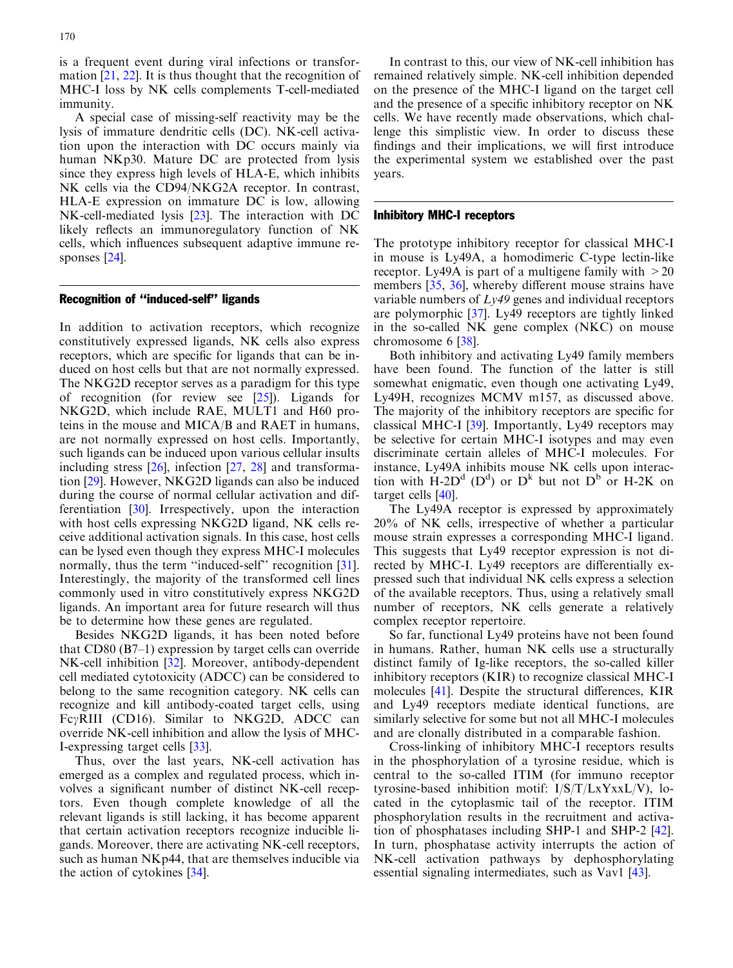is a frequent event during viral infections or transformation [\[21](#page-4-0), [22\]](#page-4-0). It is thus thought that the recognition of MHC-I loss by NK cells complements T-cell-mediated immunity.

A special case of missing-self reactivity may be the lysis of immature dendritic cells (DC). NK-cell activation upon the interaction with DC occurs mainly via human NKp30. Mature DC are protected from lysis since they express high levels of HLA-E, which inhibits NK cells via the CD94/NKG2A receptor. In contrast, HLA-E expression on immature DC is low, allowing NK-cell-mediated lysis [\[23](#page-4-0)]. The interaction with DC likely reflects an immunoregulatory function of NK cells, which influences subsequent adaptive immune responses [\[24](#page-4-0)].

# Recognition of ''induced-self'' ligands

In addition to activation receptors, which recognize constitutively expressed ligands, NK cells also express receptors, which are specific for ligands that can be induced on host cells but that are not normally expressed. The NKG2D receptor serves as a paradigm for this type of recognition (for review see [\[25](#page-4-0)]). Ligands for NKG2D, which include RAE, MULT1 and H60 proteins in the mouse and MICA/B and RAET in humans, are not normally expressed on host cells. Importantly, such ligands can be induced upon various cellular insults including stress [\[26\]](#page-4-0), infection [[27,](#page-4-0) [28\]](#page-4-0) and transformation [[29\]](#page-4-0). However, NKG2D ligands can also be induced during the course of normal cellular activation and differentiation [[30\]](#page-4-0). Irrespectively, upon the interaction with host cells expressing NKG2D ligand, NK cells receive additional activation signals. In this case, host cells can be lysed even though they express MHC-I molecules normally, thus the term "induced-self" recognition [\[31](#page-4-0)]. Interestingly, the majority of the transformed cell lines commonly used in vitro constitutively express NKG2D ligands. An important area for future research will thus be to determine how these genes are regulated.

Besides NKG2D ligands, it has been noted before that CD80 (B7–1) expression by target cells can override NK-cell inhibition [[32\]](#page-4-0). Moreover, antibody-dependent cell mediated cytotoxicity (ADCC) can be considered to belong to the same recognition category. NK cells can recognize and kill antibody-coated target cells, using  $Fc\gamma RIII$  (CD16). Similar to NKG2D, ADCC can override NK-cell inhibition and allow the lysis of MHC-I-expressing target cells [[33\]](#page-4-0).

Thus, over the last years, NK-cell activation has emerged as a complex and regulated process, which involves a significant number of distinct NK-cell receptors. Even though complete knowledge of all the relevant ligands is still lacking, it has become apparent that certain activation receptors recognize inducible ligands. Moreover, there are activating NK-cell receptors, such as human NKp44, that are themselves inducible via the action of cytokines [\[34\]](#page-4-0).

In contrast to this, our view of NK-cell inhibition has remained relatively simple. NK-cell inhibition depended on the presence of the MHC-I ligand on the target cell and the presence of a specific inhibitory receptor on NK cells. We have recently made observations, which challenge this simplistic view. In order to discuss these findings and their implications, we will first introduce the experimental system we established over the past years.

## Inhibitory MHC-I receptors

The prototype inhibitory receptor for classical MHC-I in mouse is Ly49A, a homodimeric C-type lectin-like receptor. Ly49A is part of a multigene family with  $>20$ members [[35,](#page-4-0) [36](#page-4-0)], whereby different mouse strains have variable numbers of  $Lv49$  genes and individual receptors are polymorphic [\[37\]](#page-4-0). Ly49 receptors are tightly linked in the so-called NK gene complex (NKC) on mouse chromosome 6 [[38\]](#page-4-0).

Both inhibitory and activating Ly49 family members have been found. The function of the latter is still somewhat enigmatic, even though one activating Ly49, Ly49H, recognizes MCMV m157, as discussed above. The majority of the inhibitory receptors are specific for classical MHC-I [\[39\]](#page-4-0). Importantly, Ly49 receptors may be selective for certain MHC-I isotypes and may even discriminate certain alleles of MHC-I molecules. For instance, Ly49A inhibits mouse NK cells upon interaction with  $\dot{H}$ -2D<sup>d</sup> (D<sup>d</sup>) or D<sup>k</sup> but not D<sup>b</sup> or H-2K on target cells [\[40\]](#page-4-0).

The Ly49A receptor is expressed by approximately 20% of NK cells, irrespective of whether a particular mouse strain expresses a corresponding MHC-I ligand. This suggests that Ly49 receptor expression is not directed by MHC-I. Ly49 receptors are differentially expressed such that individual NK cells express a selection of the available receptors. Thus, using a relatively small number of receptors, NK cells generate a relatively complex receptor repertoire.

So far, functional Ly49 proteins have not been found in humans. Rather, human NK cells use a structurally distinct family of Ig-like receptors, the so-called killer inhibitory receptors (KIR) to recognize classical MHC-I molecules [[41\]](#page-4-0). Despite the structural differences, KIR and Ly49 receptors mediate identical functions, are similarly selective for some but not all MHC-I molecules and are clonally distributed in a comparable fashion.

Cross-linking of inhibitory MHC-I receptors results in the phosphorylation of a tyrosine residue, which is central to the so-called ITIM (for immuno receptor tyrosine-based inhibition motif: I/S/T/LxYxxL/V), located in the cytoplasmic tail of the receptor. ITIM phosphorylation results in the recruitment and activation of phosphatases including SHP-1 and SHP-2 [\[42\]](#page-4-0). In turn, phosphatase activity interrupts the action of NK-cell activation pathways by dephosphorylating essential signaling intermediates, such as Vav1 [[43](#page-4-0)].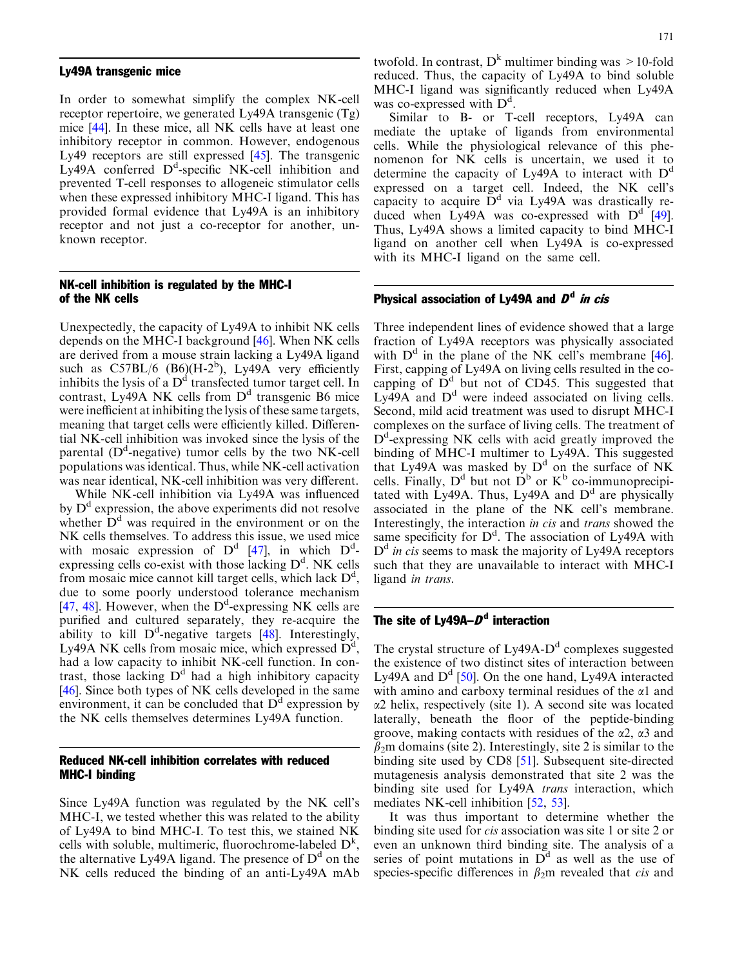### Ly49A transgenic mice

In order to somewhat simplify the complex NK-cell receptor repertoire, we generated Ly49A transgenic (Tg) mice [[44\]](#page-4-0). In these mice, all NK cells have at least one inhibitory receptor in common. However, endogenous Ly49 receptors are still expressed [\[45](#page-4-0)]. The transgenic  $Ly$ 49A conferred  $D<sup>d</sup>$ -specific NK-cell inhibition and prevented T-cell responses to allogeneic stimulator cells when these expressed inhibitory MHC-I ligand. This has provided formal evidence that Ly49A is an inhibitory receptor and not just a co-receptor for another, unknown receptor.

# NK-cell inhibition is regulated by the MHC-I of the NK cells

Unexpectedly, the capacity of Ly49A to inhibit NK cells depends on the MHC-I background [\[46](#page-4-0)]. When NK cells are derived from a mouse strain lacking a Ly49A ligand such as  $C57BL/6$  (B6)(H-2<sup>b</sup>), Ly49A very efficiently inhibits the lysis of a  $D<sup>d</sup>$  transfected tumor target cell. In contrast, Ly49A NK cells from  $D<sup>d</sup>$  transgenic B6 mice were inefficient at inhibiting the lysis of these same targets, meaning that target cells were efficiently killed. Differential NK-cell inhibition was invoked since the lysis of the parental ( $D<sup>d</sup>$ -negative) tumor cells by the two NK-cell populations was identical. Thus, while NK-cell activation was near identical, NK-cell inhibition was very different.

While NK-cell inhibition via Ly49A was influenced by  $D<sup>d</sup>$  expression, the above experiments did not resolve whether  $D<sup>d</sup>$  was required in the environment or on the NK cells themselves. To address this issue, we used mice with mosaic expression of  $D^d$  [\[47](#page-4-0)], in which  $D^d$ expressing cells co-exist with those lacking  $D<sup>d</sup>$ . NK cells from mosaic mice cannot kill target cells, which lack  $D<sup>d</sup>$ , due to some poorly understood tolerance mechanism [[47](#page-4-0), [48](#page-4-0)]. However, when the  $D^d$ -expressing NK cells are purified and cultured separately, they re-acquire the ability to kill  $D^d$ -negative targets [\[48](#page-4-0)]. Interestingly, Ly49A NK cells from mosaic mice, which expressed  $\overline{D}^d$ , had a low capacity to inhibit NK-cell function. In contrast, those lacking  $D<sup>d</sup>$  had a high inhibitory capacity [[46](#page-4-0)]. Since both types of NK cells developed in the same environment, it can be concluded that  $D<sup>d</sup>$  expression by the NK cells themselves determines Ly49A function.

# Reduced NK-cell inhibition correlates with reduced MHC-I binding

Since Ly49A function was regulated by the NK cell's MHC-I, we tested whether this was related to the ability of Ly49A to bind MHC-I. To test this, we stained NK cells with soluble, multimeric, fluorochrome-labeled  $D<sup>k</sup>$ , the alternative Ly49A ligand. The presence of  $D<sup>d</sup>$  on the NK cells reduced the binding of an anti-Ly49A mAb twofold. In contrast,  $D^k$  multimer binding was  $>10$ -fold reduced. Thus, the capacity of Ly49A to bind soluble MHC-I ligand was significantly reduced when Ly49A was co-expressed with  $D<sup>d</sup>$ .

Similar to B- or T-cell receptors, Ly49A can mediate the uptake of ligands from environmental cells. While the physiological relevance of this phenomenon for NK cells is uncertain, we used it to determine the capacity of Ly49A to interact with  $D<sup>d</sup>$ expressed on a target cell. Indeed, the NK cell's capacity to acquire  $\bar{D}^d$  via Ly49A was drastically reduced when Ly49A was co-expressed with  $D^d$  [\[49\]](#page-4-0). Thus, Ly49A shows a limited capacity to bind MHC-I ligand on another cell when Ly49A is co-expressed with its MHC-I ligand on the same cell.

# Physical association of Ly49A and  $D<sup>d</sup>$  in cis

Three independent lines of evidence showed that a large fraction of Ly49A receptors was physically associated with  $D^d$  in the plane of the NK cell's membrane [\[46\]](#page-4-0). First, capping of Ly49A on living cells resulted in the cocapping of  $\overline{D}^d$  but not of CD45. This suggested that  $Ly<sup>49</sup>A$  and  $D<sup>d</sup>$  were indeed associated on living cells. Second, mild acid treatment was used to disrupt MHC-I complexes on the surface of living cells. The treatment of D<sup>d</sup>-expressing NK cells with acid greatly improved the binding of MHC-I multimer to Ly49A. This suggested that Ly49A was masked by  $D^d$  on the surface of NK cells. Finally,  $D^d$  but not  $D^b$  or  $K^b$  co-immunoprecipitated with Ly49A. Thus, Ly49A and  $D<sup>d</sup>$  are physically associated in the plane of the NK cell's membrane. Interestingly, the interaction *in cis* and *trans* showed the same specificity for  $D^d$ . The association of Ly49A with  $D<sup>d</sup>$  in cis seems to mask the majority of Ly49A receptors such that they are unavailable to interact with MHC-I ligand in trans.

# The site of Ly49A– $D<sup>d</sup>$  interaction

The crystal structure of  $Ly_49A-D<sup>d</sup>$  complexes suggested the existence of two distinct sites of interaction between Ly49A and  $D^d$  [[50\]](#page-4-0). On the one hand, Ly49A interacted with amino and carboxy terminal residues of the  $\alpha$ 1 and  $\alpha$ 2 helix, respectively (site 1). A second site was located laterally, beneath the floor of the peptide-binding groove, making contacts with residues of the  $\alpha$ 2,  $\alpha$ 3 and  $\beta_2$ m domains (site 2). Interestingly, site 2 is similar to the binding site used by CD8 [\[51](#page-4-0)]. Subsequent site-directed mutagenesis analysis demonstrated that site 2 was the binding site used for Ly49A trans interaction, which mediates NK-cell inhibition [[52](#page-4-0), [53](#page-5-0)].

It was thus important to determine whether the binding site used for cis association was site 1 or site 2 or even an unknown third binding site. The analysis of a series of point mutations in  $D<sup>d</sup>$  as well as the use of species-specific differences in  $\beta_2$ m revealed that *cis* and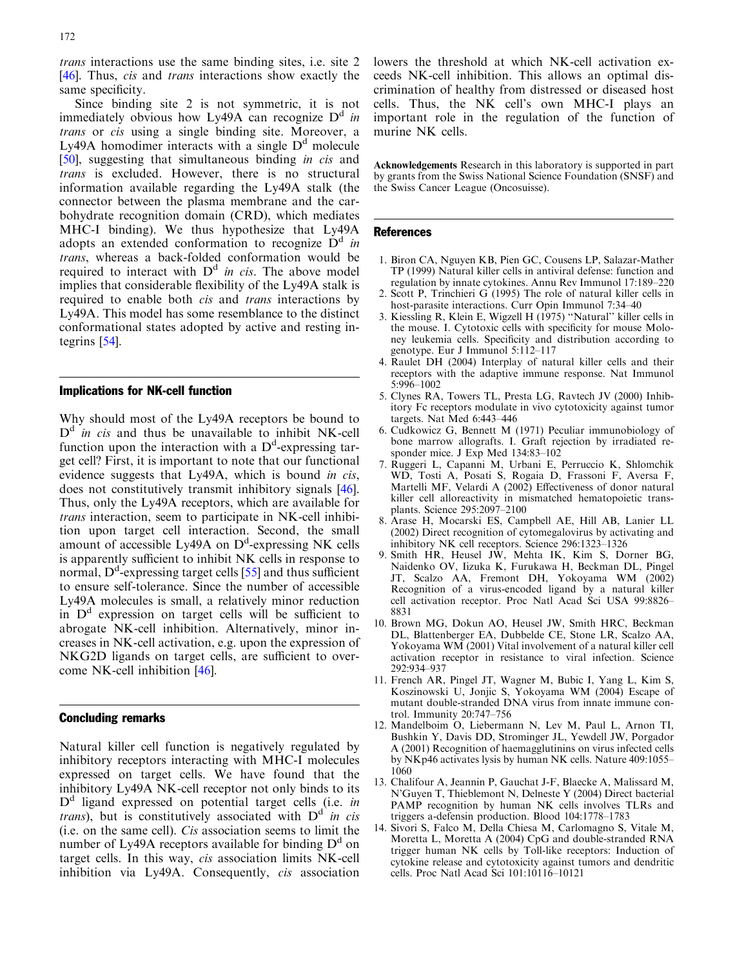<span id="page-3-0"></span>trans interactions use the same binding sites, i.e. site 2 [[46](#page-4-0)]. Thus, *cis* and *trans* interactions show exactly the same specificity.

Since binding site 2 is not symmetric, it is not immediately obvious how Ly49A can recognize  $D^d$  in trans or cis using a single binding site. Moreover, a Ly49A homodimer interacts with a single  $D<sup>d</sup>$  molecule [[50](#page-4-0)], suggesting that simultaneous binding in cis and trans is excluded. However, there is no structural information available regarding the Ly49A stalk (the connector between the plasma membrane and the carbohydrate recognition domain (CRD), which mediates MHC-I binding). We thus hypothesize that Ly49A adopts an extended conformation to recognize  $D^d$  in trans, whereas a back-folded conformation would be required to interact with  $D<sup>d</sup>$  in cis. The above model implies that considerable flexibility of the Ly49A stalk is required to enable both cis and trans interactions by Ly49A. This model has some resemblance to the distinct conformational states adopted by active and resting integrins [\[54\]](#page-5-0).

#### Implications for NK-cell function

Why should most of the Ly49A receptors be bound to  $D<sup>d</sup>$  in cis and thus be unavailable to inhibit NK-cell function upon the interaction with a  $D<sup>d</sup>$ -expressing target cell? First, it is important to note that our functional evidence suggests that Ly49A, which is bound in cis, does not constitutively transmit inhibitory signals [\[46](#page-4-0)]. Thus, only the Ly49A receptors, which are available for trans interaction, seem to participate in NK-cell inhibition upon target cell interaction. Second, the small amount of accessible Ly49A on  $D^d$ -expressing NK cells is apparently sufficient to inhibit NK cells in response to normal,  $D^d$ -expressing target cells [[55\]](#page-5-0) and thus sufficient to ensure self-tolerance. Since the number of accessible Ly49A molecules is small, a relatively minor reduction in  $D<sup>d</sup>$  expression on target cells will be sufficient to abrogate NK-cell inhibition. Alternatively, minor increases in NK-cell activation, e.g. upon the expression of NKG2D ligands on target cells, are sufficient to overcome NK-cell inhibition [[46\]](#page-4-0).

## Concluding remarks

Natural killer cell function is negatively regulated by inhibitory receptors interacting with MHC-I molecules expressed on target cells. We have found that the inhibitory Ly49A NK-cell receptor not only binds to its  $D<sup>d</sup>$  ligand expressed on potential target cells (i.e. in trans), but is constitutively associated with  $D<sup>d</sup>$  in cis (i.e. on the same cell). Cis association seems to limit the number of Ly49A receptors available for binding  $D^d$  on target cells. In this way, cis association limits NK-cell inhibition via Ly49A. Consequently, cis association lowers the threshold at which NK-cell activation exceeds NK-cell inhibition. This allows an optimal discrimination of healthy from distressed or diseased host cells. Thus, the NK cell's own MHC-I plays an important role in the regulation of the function of murine NK cells.

Acknowledgements Research in this laboratory is supported in part by grants from the Swiss National Science Foundation (SNSF) and the Swiss Cancer League (Oncosuisse).

#### References

- 1. Biron CA, Nguyen KB, Pien GC, Cousens LP, Salazar-Mather TP (1999) Natural killer cells in antiviral defense: function and regulation by innate cytokines. Annu Rev Immunol 17:189–220
- 2. Scott P, Trinchieri G (1995) The role of natural killer cells in host-parasite interactions. Curr Opin Immunol 7:34–40
- 3. Kiessling R, Klein E, Wigzell H (1975) ''Natural'' killer cells in the mouse. I. Cytotoxic cells with specificity for mouse Moloney leukemia cells. Specificity and distribution according to genotype. Eur J Immunol 5:112–117
- 4. Raulet DH (2004) Interplay of natural killer cells and their receptors with the adaptive immune response. Nat Immunol 5:996–1002
- 5. Clynes RA, Towers TL, Presta LG, Ravtech JV (2000) Inhibitory Fc receptors modulate in vivo cytotoxicity against tumor targets. Nat Med 6:443–446
- 6. Cudkowicz G, Bennett M (1971) Peculiar immunobiology of bone marrow allografts. I. Graft rejection by irradiated responder mice. J Exp Med 134:83–102
- 7. Ruggeri L, Capanni M, Urbani E, Perruccio K, Shlomchik WD, Tosti A, Posati S, Rogaia D, Frassoni F, Aversa F, Martelli MF, Velardi A (2002) Effectiveness of donor natural killer cell alloreactivity in mismatched hematopoietic transplants. Science 295:2097–2100
- 8. Arase H, Mocarski ES, Campbell AE, Hill AB, Lanier LL (2002) Direct recognition of cytomegalovirus by activating and inhibitory NK cell receptors. Science 296:1323–1326
- 9. Smith HR, Heusel JW, Mehta IK, Kim S, Dorner BG, Naidenko OV, Iizuka K, Furukawa H, Beckman DL, Pingel JT, Scalzo AA, Fremont DH, Yokoyama WM (2002) Recognition of a virus-encoded ligand by a natural killer cell activation receptor. Proc Natl Acad Sci USA 99:8826– 8831
- 10. Brown MG, Dokun AO, Heusel JW, Smith HRC, Beckman DL, Blattenberger EA, Dubbelde CE, Stone LR, Scalzo AA, Yokoyama WM (2001) Vital involvement of a natural killer cell activation receptor in resistance to viral infection. Science 292:934–937
- 11. French AR, Pingel JT, Wagner M, Bubic I, Yang L, Kim S, Koszinowski U, Jonjic S, Yokoyama WM (2004) Escape of mutant double-stranded DNA virus from innate immune control. Immunity 20:747–756
- 12. Mandelboim O, Liebermann N, Lev M, Paul L, Arnon TI, Bushkin Y, Davis DD, Strominger JL, Yewdell JW, Porgador A (2001) Recognition of haemagglutinins on virus infected cells by NKp46 activates lysis by human NK cells. Nature 409:1055– 1060
- 13. Chalifour A, Jeannin P, Gauchat J-F, Blaecke A, Malissard M, N'Guyen T, Thieblemont N, Delneste Y (2004) Direct bacterial PAMP recognition by human NK cells involves TLRs and triggers a-defensin production. Blood 104:1778–1783
- 14. Sivori S, Falco M, Della Chiesa M, Carlomagno S, Vitale M, Moretta L, Moretta A (2004) CpG and double-stranded RNA trigger human NK cells by Toll-like receptors: Induction of cytokine release and cytotoxicity against tumors and dendritic cells. Proc Natl Acad Sci 101:10116–10121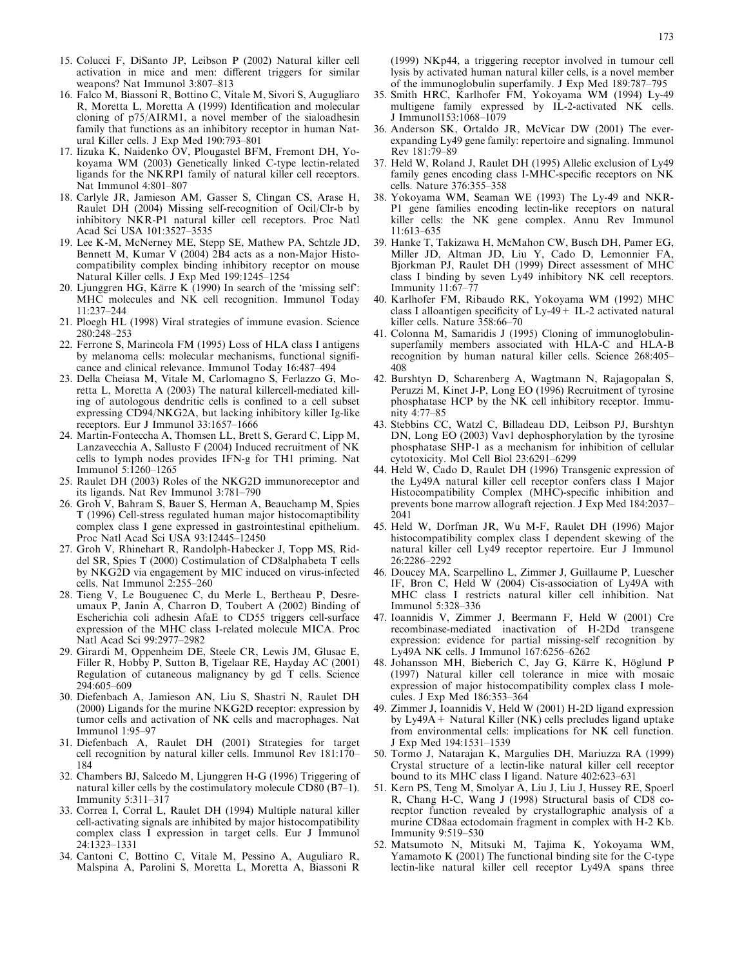- <span id="page-4-0"></span>15. Colucci F, DiSanto JP, Leibson P (2002) Natural killer cell activation in mice and men: different triggers for similar weapons? Nat Immunol 3:807–813
- 16. Falco M, Biassoni R, Bottino C, Vitale M, Sivori S, Augugliaro R, Moretta L, Moretta A (1999) Identification and molecular cloning of p75/AIRM1, a novel member of the sialoadhesin family that functions as an inhibitory receptor in human Natural Killer cells. J Exp Med 190:793–801
- 17. Iizuka K, Naidenko OV, Plougastel BFM, Fremont DH, Yokoyama WM (2003) Genetically linked C-type lectin-related ligands for the NKRP1 family of natural killer cell receptors. Nat Immunol 4:801–807
- 18. Carlyle JR, Jamieson AM, Gasser S, Clingan CS, Arase H, Raulet DH (2004) Missing self-recognition of Ocil/Clr-b by inhibitory NKR-P1 natural killer cell receptors. Proc Natl Acad Sci USA 101:3527–3535
- 19. Lee K-M, McNerney ME, Stepp SE, Mathew PA, Schtzle JD, Bennett M, Kumar V (2004) 2B4 acts as a non-Major Histocompatibility complex binding inhibitory receptor on mouse Natural Killer cells. J Exp Med 199:1245–1254
- 20. Ljunggren HG, Kärre K  $(1990)$  In search of the 'missing self': MHC molecules and NK cell recognition. Immunol Today 11:237–244
- 21. Ploegh HL (1998) Viral strategies of immune evasion. Science 280:248–253
- 22. Ferrone S, Marincola FM (1995) Loss of HLA class I antigens by melanoma cells: molecular mechanisms, functional significance and clinical relevance. Immunol Today 16:487–494
- 23. Della Cheiasa M, Vitale M, Carlomagno S, Ferlazzo G, Moretta L, Moretta A (2003) The natural killercell-mediated killing of autologous dendritic cells is confined to a cell subset expressing CD94/NKG2A, but lacking inhibitory killer Ig-like receptors. Eur J Immunol 33:1657–1666
- 24. Martin-Fonteccha A, Thomsen LL, Brett S, Gerard C, Lipp M, Lanzavecchia A, Sallusto F (2004) Induced recruitment of NK cells to lymph nodes provides IFN-g for TH1 priming. Nat Immunol 5:1260–1265
- 25. Raulet DH (2003) Roles of the NKG2D immunoreceptor and its ligands. Nat Rev Immunol 3:781–790
- 26. Groh V, Bahram S, Bauer S, Herman A, Beauchamp M, Spies T (1996) Cell-stress regulated human major histocomaptibility complex class I gene expressed in gastrointestinal epithelium. Proc Natl Acad Sci USA 93:12445–12450
- 27. Groh V, Rhinehart R, Randolph-Habecker J, Topp MS, Riddel SR, Spies T (2000) Costimulation of CD8alphabeta T cells by NKG2D via engagement by MIC induced on virus-infected cells. Nat Immunol 2:255–260
- 28. Tieng V, Le Bouguenec C, du Merle L, Bertheau P, Desreumaux P, Janin A, Charron D, Toubert A (2002) Binding of Escherichia coli adhesin AfaE to CD55 triggers cell-surface expression of the MHC class I-related molecule MICA. Proc Natl Acad Sci 99:2977–2982
- 29. Girardi M, Oppenheim DE, Steele CR, Lewis JM, Glusac E, Filler R, Hobby P, Sutton B, Tigelaar RE, Hayday AC (2001) Regulation of cutaneous malignancy by gd T cells. Science 294:605–609
- 30. Diefenbach A, Jamieson AN, Liu S, Shastri N, Raulet DH (2000) Ligands for the murine NKG2D receptor: expression by tumor cells and activation of NK cells and macrophages. Nat Immunol 1:95–97
- 31. Diefenbach A, Raulet DH (2001) Strategies for target cell recognition by natural killer cells. Immunol Rev 181:170– 184
- 32. Chambers BJ, Salcedo M, Ljunggren H-G (1996) Triggering of natural killer cells by the costimulatory molecule CD80 (B7–1). Immunity 5:311–317
- 33. Correa I, Corral L, Raulet DH (1994) Multiple natural killer cell-activating signals are inhibited by major histocompatibility complex class I expression in target cells. Eur J Immunol 24:1323–1331
- 34. Cantoni C, Bottino C, Vitale M, Pessino A, Auguliaro R, Malspina A, Parolini S, Moretta L, Moretta A, Biassoni R

(1999) NKp44, a triggering receptor involved in tumour cell lysis by activated human natural killer cells, is a novel member of the immunoglobulin superfamily. J Exp Med 189:787–795

- 35. Smith HRC, Karlhofer FM, Yokoyama WM (1994) Ly-49 multigene family expressed by IL-2-activated NK cells. J Immunol153:1068–1079
- 36. Anderson SK, Ortaldo JR, McVicar DW (2001) The everexpanding Ly49 gene family: repertoire and signaling. Immunol Rev 181:79–89
- 37. Held W, Roland J, Raulet DH (1995) Allelic exclusion of Ly49 family genes encoding class I-MHC-specific receptors on NK cells. Nature 376:355–358
- 38. Yokoyama WM, Seaman WE (1993) The Ly-49 and NKR-P1 gene families encoding lectin-like receptors on natural killer cells: the NK gene complex. Annu Rev Immunol 11:613–635
- 39. Hanke T, Takizawa H, McMahon CW, Busch DH, Pamer EG, Miller JD, Altman JD, Liu Y, Cado D, Lemonnier FA, Bjorkman PJ, Raulet DH (1999) Direct assessment of MHC class I binding by seven Ly49 inhibitory NK cell receptors. Immunity 11:67–77
- 40. Karlhofer FM, Ribaudo RK, Yokoyama WM (1992) MHC class I alloantigen specificity of Ly-49+ IL-2 activated natural killer cells. Nature 358:66–70
- 41. Colonna M, Samaridis J (1995) Cloning of immunoglobulinsuperfamily members associated with HLA-C and HLA-B recognition by human natural killer cells. Science 268:405– 408
- 42. Burshtyn D, Scharenberg A, Wagtmann N, Rajagopalan S, Peruzzi M, Kinet J-P, Long EO (1996) Recruitment of tyrosine phosphatase HCP by the NK cell inhibitory receptor. Immunity 4:77–85
- 43. Stebbins CC, Watzl C, Billadeau DD, Leibson PJ, Burshtyn DN, Long EO (2003) Vav1 dephosphorylation by the tyrosine phosphatase SHP-1 as a mechanism for inhibition of cellular cytotoxicity. Mol Cell Biol 23:6291–6299
- 44. Held W, Cado D, Raulet DH (1996) Transgenic expression of the Ly49A natural killer cell receptor confers class I Major Histocompatibility Complex (MHC)-specific inhibition and prevents bone marrow allograft rejection. J Exp Med 184:2037– 2041
- 45. Held W, Dorfman JR, Wu M-F, Raulet DH (1996) Major histocompatibility complex class I dependent skewing of the natural killer cell Ly49 receptor repertoire. Eur J Immunol 26:2286–2292
- 46. Doucey MA, Scarpellino L, Zimmer J, Guillaume P, Luescher IF, Bron C, Held W (2004) Cis-association of Ly49A with MHC class I restricts natural killer cell inhibition. Nat Immunol 5:328–336
- 47. Ioannidis V, Zimmer J, Beermann F, Held W (2001) Cre recombinase-mediated inactivation of H-2Dd transgene expression: evidence for partial missing-self recognition by Ly49A NK cells. J Immunol 167:6256–6262
- 48. Johansson MH, Bieberich C, Jay G, Kärre K, Höglund P (1997) Natural killer cell tolerance in mice with mosaic expression of major histocompatibility complex class I molecules. J Exp Med 186:353–364
- 49. Zimmer J, Ioannidis V, Held W (2001) H-2D ligand expression by Ly49A+ Natural Killer (NK) cells precludes ligand uptake from environmental cells: implications for NK cell function. J Exp Med 194:1531–1539
- 50. Tormo J, Natarajan K, Margulies DH, Mariuzza RA (1999) Crystal structure of a lectin-like natural killer cell receptor bound to its MHC class I ligand. Nature 402:623–631
- 51. Kern PS, Teng M, Smolyar A, Liu J, Liu J, Hussey RE, Spoerl R, Chang H-C, Wang J (1998) Structural basis of CD8 corecptor function revealed by crystallographic analysis of a murine CD8aa ectodomain fragment in complex with H-2 Kb. Immunity 9:519–530
- 52. Matsumoto N, Mitsuki M, Tajima K, Yokoyama WM, Yamamoto K (2001) The functional binding site for the C-type lectin-like natural killer cell receptor Ly49A spans three